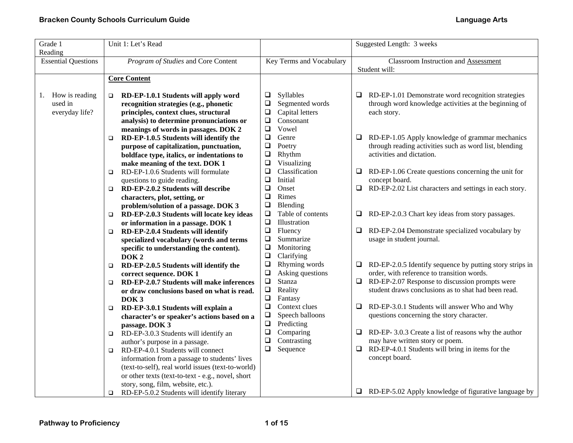| Grade 1<br>Reading         | Unit 1: Let's Read                                                                    |                                                   | Suggested Length: 3 weeks                                                                                       |
|----------------------------|---------------------------------------------------------------------------------------|---------------------------------------------------|-----------------------------------------------------------------------------------------------------------------|
| <b>Essential Questions</b> | Program of Studies and Core Content                                                   | Key Terms and Vocabulary                          | Classroom Instruction and Assessment<br>Student will:                                                           |
|                            | <b>Core Content</b>                                                                   |                                                   |                                                                                                                 |
|                            |                                                                                       |                                                   |                                                                                                                 |
| How is reading<br>1.       | RD-EP-1.0.1 Students will apply word<br>$\Box$                                        | Syllables<br>⊔                                    | RD-EP-1.01 Demonstrate word recognition strategies<br>⊔                                                         |
| used in                    | recognition strategies (e.g., phonetic                                                | $\Box$<br>Segmented words                         | through word knowledge activities at the beginning of                                                           |
| everyday life?             | principles, context clues, structural                                                 | $\Box$<br>Capital letters                         | each story.                                                                                                     |
|                            | analysis) to determine pronunciations or                                              | ❏<br>Consonant                                    |                                                                                                                 |
|                            | meanings of words in passages. DOK 2                                                  | ❏<br>Vowel<br>Genre                               |                                                                                                                 |
|                            | RD-EP-1.0.5 Students will identify the<br>$\Box$                                      | $\Box$<br>$\Box$<br>Poetry                        | RD-EP-1.05 Apply knowledge of grammar mechanics<br>u.<br>through reading activities such as word list, blending |
|                            | purpose of capitalization, punctuation,<br>boldface type, italics, or indentations to | $\Box$<br>Rhythm                                  | activities and dictation.                                                                                       |
|                            | make meaning of the text. DOK 1                                                       | $\Box$<br>Visualizing                             |                                                                                                                 |
|                            | RD-EP-1.0.6 Students will formulate<br>$\Box$                                         | $\Box$<br>Classification                          | RD-EP-1.06 Create questions concerning the unit for<br>u.                                                       |
|                            | questions to guide reading.                                                           | $\Box$<br>Initial                                 | concept board.                                                                                                  |
|                            | RD-EP-2.0.2 Students will describe<br>o                                               | $\Box$<br>Onset                                   | RD-EP-2.02 List characters and settings in each story.<br>❏.                                                    |
|                            | characters, plot, setting, or                                                         | Rimes<br>$\Box$                                   |                                                                                                                 |
|                            | problem/solution of a passage. DOK 3                                                  | $\Box$<br>Blending                                |                                                                                                                 |
|                            | RD-EP-2.0.3 Students will locate key ideas<br>$\Box$                                  | $\Box$<br>Table of contents                       | RD-EP-2.0.3 Chart key ideas from story passages.<br>⊔                                                           |
|                            | or information in a passage. DOK 1                                                    | $\Box$<br>Illustration                            |                                                                                                                 |
|                            | RD-EP-2.0.4 Students will identify<br>□                                               | $\Box$<br>Fluency                                 | RD-EP-2.04 Demonstrate specialized vocabulary by<br>⊔                                                           |
|                            | specialized vocabulary (words and terms                                               | Summarize<br>$\Box$                               | usage in student journal.                                                                                       |
|                            | specific to understanding the content).                                               | $\Box$<br>Monitoring                              |                                                                                                                 |
|                            | DOK <sub>2</sub>                                                                      | $\Box$<br>Clarifying                              |                                                                                                                 |
|                            | RD-EP-2.0.5 Students will identify the<br>o.                                          | $\Box$<br>Rhyming words                           | RD-EP-2.0.5 Identify sequence by putting story strips in<br>⊔                                                   |
|                            | correct sequence. DOK 1                                                               | $\Box$<br>Asking questions                        | order, with reference to transition words.                                                                      |
|                            | RD-EP-2.0.7 Students will make inferences<br>$\Box$                                   | $\Box$<br>Stanza                                  | RD-EP-2.07 Response to discussion prompts were<br>❏                                                             |
|                            | or draw conclusions based on what is read.                                            | $\Box$<br>Reality                                 | student draws conclusions as to shat had been read.                                                             |
|                            | DOK <sub>3</sub>                                                                      | $\Box$<br>Fantasy                                 |                                                                                                                 |
|                            | RD-EP-3.0.1 Students will explain a<br>$\Box$                                         | $\Box$<br>Context clues                           | RD-EP-3.0.1 Students will answer Who and Why<br>⊔                                                               |
|                            | character's or speaker's actions based on a                                           | $\Box$<br>Speech balloons<br>$\Box$<br>Predicting | questions concerning the story character.                                                                       |
|                            | passage. DOK 3                                                                        | $\Box$<br>Comparing                               | RD-EP- 3.0.3 Create a list of reasons why the author<br>$\Box$                                                  |
|                            | RD-EP-3.0.3 Students will identify an<br>$\Box$                                       | $\Box$<br>Contrasting                             | may have written story or poem.                                                                                 |
|                            | author's purpose in a passage.<br>RD-EP-4.0.1 Students will connect<br>$\Box$         | $\Box$<br>Sequence                                | RD-EP-4.0.1 Students will bring in items for the<br>$\Box$                                                      |
|                            | information from a passage to students' lives                                         |                                                   | concept board.                                                                                                  |
|                            | (text-to-self), real world issues (text-to-world)                                     |                                                   |                                                                                                                 |
|                            | or other texts (text-to-text - e.g., novel, short                                     |                                                   |                                                                                                                 |
|                            | story, song, film, website, etc.).                                                    |                                                   |                                                                                                                 |
|                            | RD-EP-5.0.2 Students will identify literary<br>$\Box$                                 |                                                   | $\Box$ RD-EP-5.02 Apply knowledge of figurative language by                                                     |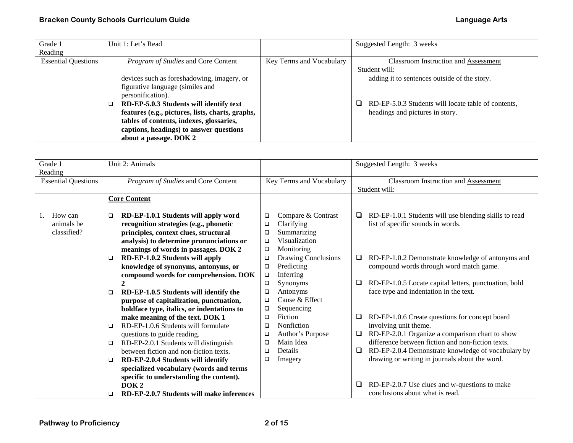| Grade 1                    | Unit 1: Let's Read                               |                          | Suggested Length: 3 weeks                           |
|----------------------------|--------------------------------------------------|--------------------------|-----------------------------------------------------|
| Reading                    |                                                  |                          |                                                     |
| <b>Essential Questions</b> | Program of Studies and Core Content              | Key Terms and Vocabulary | <b>Classroom Instruction and Assessment</b>         |
|                            |                                                  |                          | Student will:                                       |
|                            | devices such as foreshadowing, imagery, or       |                          | adding it to sentences outside of the story.        |
|                            | figurative language (similes and                 |                          |                                                     |
|                            | personification).                                |                          |                                                     |
|                            | RD-EP-5.0.3 Students will identify text          |                          | RD-EP-5.0.3 Students will locate table of contents, |
|                            | features (e.g., pictures, lists, charts, graphs, |                          | headings and pictures in story.                     |
|                            | tables of contents, indexes, glossaries,         |                          |                                                     |
|                            | captions, headings) to answer questions          |                          |                                                     |
|                            | about a passage. DOK 2                           |                          |                                                     |

| Grade 1<br>Reading                   | Unit 2: Animals                                                                                                                                                                                                                                                                                                                                                                                                                                                                                                                                                                |                                                                                                                                                                                                                                                                                                             | Suggested Length: 3 weeks                                                                                                                                                                                                                                                                                                                                                                    |
|--------------------------------------|--------------------------------------------------------------------------------------------------------------------------------------------------------------------------------------------------------------------------------------------------------------------------------------------------------------------------------------------------------------------------------------------------------------------------------------------------------------------------------------------------------------------------------------------------------------------------------|-------------------------------------------------------------------------------------------------------------------------------------------------------------------------------------------------------------------------------------------------------------------------------------------------------------|----------------------------------------------------------------------------------------------------------------------------------------------------------------------------------------------------------------------------------------------------------------------------------------------------------------------------------------------------------------------------------------------|
| <b>Essential Questions</b>           | Program of Studies and Core Content                                                                                                                                                                                                                                                                                                                                                                                                                                                                                                                                            | Key Terms and Vocabulary                                                                                                                                                                                                                                                                                    | <b>Classroom Instruction and Assessment</b><br>Student will:                                                                                                                                                                                                                                                                                                                                 |
|                                      | <b>Core Content</b>                                                                                                                                                                                                                                                                                                                                                                                                                                                                                                                                                            |                                                                                                                                                                                                                                                                                                             |                                                                                                                                                                                                                                                                                                                                                                                              |
| How can<br>animals be<br>classified? | RD-EP-1.0.1 Students will apply word<br>□<br>recognition strategies (e.g., phonetic<br>principles, context clues, structural<br>analysis) to determine pronunciations or<br>meanings of words in passages. DOK 2<br>RD-EP-1.0.2 Students will apply<br>$\Box$<br>knowledge of synonyms, antonyms, or<br>compound words for comprehension. DOK<br>RD-EP-1.0.5 Students will identify the<br>$\Box$<br>purpose of capitalization, punctuation,<br>boldface type, italics, or indentations to<br>make meaning of the text. DOK 1<br>RD-EP-1.0.6 Students will formulate<br>$\Box$ | Compare & Contrast<br>□<br>Clarifying<br>□<br>Summarizing<br>❏<br>Visualization<br>□<br>Monitoring<br>$\Box$<br>Drawing Conclusions<br>□<br>Predicting<br>$\Box$<br>Inferring<br>$\Box$<br>Synonyms<br>$\Box$<br>Antonyms<br>□<br>Cause & Effect<br>□<br>Sequencing<br>□<br>Fiction<br>□<br>Nonfiction<br>❏ | RD-EP-1.0.1 Students will use blending skills to read<br>⊔<br>list of specific sounds in words.<br>RD-EP-1.0.2 Demonstrate knowledge of antonyms and<br>⊔<br>compound words through word match game.<br>RD-EP-1.0.5 Locate capital letters, punctuation, bold<br>⊔<br>face type and indentation in the text.<br>RD-EP-1.0.6 Create questions for concept board<br>⊔<br>involving unit theme. |
|                                      | questions to guide reading.<br>RD-EP-2.0.1 Students will distinguish<br>$\Box$                                                                                                                                                                                                                                                                                                                                                                                                                                                                                                 | Author's Purpose<br>□<br>Main Idea<br>❏                                                                                                                                                                                                                                                                     | RD-EP-2.0.1 Organize a comparison chart to show<br>□<br>difference between fiction and non-fiction texts.                                                                                                                                                                                                                                                                                    |
|                                      | between fiction and non-fiction texts.<br>RD-EP-2.0.4 Students will identify<br>$\Box$<br>specialized vocabulary (words and terms                                                                                                                                                                                                                                                                                                                                                                                                                                              | Details<br>□<br>Imagery<br>□                                                                                                                                                                                                                                                                                | RD-EP-2.0.4 Demonstrate knowledge of vocabulary by<br>ч<br>drawing or writing in journals about the word.                                                                                                                                                                                                                                                                                    |
|                                      | specific to understanding the content).<br>DOK <sub>2</sub><br>RD-EP-2.0.7 Students will make inferences<br>$\Box$                                                                                                                                                                                                                                                                                                                                                                                                                                                             |                                                                                                                                                                                                                                                                                                             | RD-EP-2.0.7 Use clues and w-questions to make<br>⊔<br>conclusions about what is read.                                                                                                                                                                                                                                                                                                        |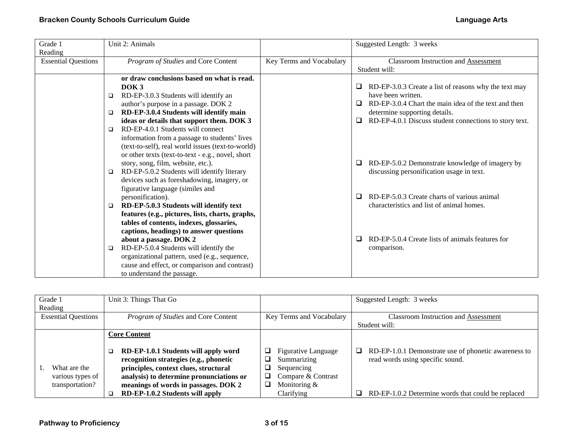| Grade 1                    | Unit 2: Animals                                   |                          | Suggested Length: 3 weeks                                    |
|----------------------------|---------------------------------------------------|--------------------------|--------------------------------------------------------------|
| Reading                    |                                                   |                          |                                                              |
| <b>Essential Questions</b> | Program of Studies and Core Content               | Key Terms and Vocabulary | <b>Classroom Instruction and Assessment</b>                  |
|                            |                                                   |                          | Student will:                                                |
|                            | or draw conclusions based on what is read.        |                          |                                                              |
|                            | DOK <sub>3</sub>                                  |                          | RD-EP-3.0.3 Create a list of reasons why the text may        |
|                            | RD-EP-3.0.3 Students will identify an<br>$\Box$   |                          | have been written.                                           |
|                            | author's purpose in a passage. DOK 2              |                          | RD-EP-3.0.4 Chart the main idea of the text and then<br>⊔    |
|                            | RD-EP-3.0.4 Students will identify main<br>□      |                          | determine supporting details.                                |
|                            | ideas or details that support them. DOK 3         |                          | RD-EP-4.0.1 Discuss student connections to story text.<br>0. |
|                            | RD-EP-4.0.1 Students will connect<br>□            |                          |                                                              |
|                            | information from a passage to students' lives     |                          |                                                              |
|                            | (text-to-self), real world issues (text-to-world) |                          |                                                              |
|                            | or other texts (text-to-text - e.g., novel, short |                          |                                                              |
|                            | story, song, film, website, etc.).                |                          | RD-EP-5.0.2 Demonstrate knowledge of imagery by<br>⊔         |
|                            | RD-EP-5.0.2 Students will identify literary<br>□  |                          | discussing personification usage in text.                    |
|                            | devices such as foreshadowing, imagery, or        |                          |                                                              |
|                            | figurative language (similes and                  |                          |                                                              |
|                            | personification).                                 |                          | RD-EP-5.0.3 Create charts of various animal<br>⊔             |
|                            | RD-EP-5.0.3 Students will identify text<br>$\Box$ |                          | characteristics and list of animal homes.                    |
|                            | features (e.g., pictures, lists, charts, graphs,  |                          |                                                              |
|                            | tables of contents, indexes, glossaries,          |                          |                                                              |
|                            | captions, headings) to answer questions           |                          |                                                              |
|                            | about a passage. DOK 2                            |                          | RD-EP-5.0.4 Create lists of animals features for<br>⊔        |
|                            | RD-EP-5.0.4 Students will identify the<br>$\Box$  |                          | comparison.                                                  |
|                            | organizational pattern, used (e.g., sequence,     |                          |                                                              |
|                            | cause and effect, or comparison and contrast)     |                          |                                                              |
|                            | to understand the passage.                        |                          |                                                              |

| Grade 1<br>Reading         | Unit 3: Things That Go                   |                                 | Suggested Length: 3 weeks                                 |
|----------------------------|------------------------------------------|---------------------------------|-----------------------------------------------------------|
| <b>Essential Questions</b> | Program of Studies and Core Content      | Key Terms and Vocabulary        | <b>Classroom Instruction and Assessment</b>               |
|                            |                                          |                                 | Student will:                                             |
|                            | <b>Core Content</b>                      |                                 |                                                           |
|                            |                                          |                                 |                                                           |
|                            | RD-EP-1.0.1 Students will apply word     | <b>Figurative Language</b><br>⊔ | RD-EP-1.0.1 Demonstrate use of phonetic awareness to<br>□ |
|                            | recognition strategies (e.g., phonetic   | Summarizing                     | read words using specific sound.                          |
| What are the               | principles, context clues, structural    | Sequencing                      |                                                           |
| various types of           | analysis) to determine pronunciations or | Compare & Contrast<br>⊔         |                                                           |
| transportation?            | meanings of words in passages. DOK 2     | Monitoring $&$                  |                                                           |
|                            | RD-EP-1.0.2 Students will apply          | Clarifying                      | RD-EP-1.0.2 Determine words that could be replaced        |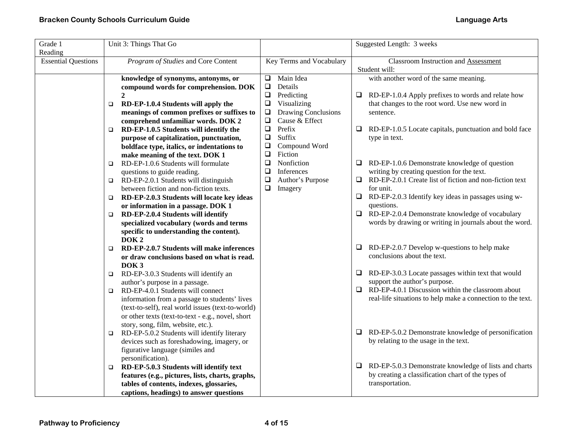| Grade 1                    | Unit 3: Things That Go                                                           |                                              | Suggested Length: 3 weeks                                         |  |  |
|----------------------------|----------------------------------------------------------------------------------|----------------------------------------------|-------------------------------------------------------------------|--|--|
| Reading                    |                                                                                  |                                              |                                                                   |  |  |
| <b>Essential Questions</b> | Program of Studies and Core Content                                              | Key Terms and Vocabulary                     | <b>Classroom Instruction and Assessment</b>                       |  |  |
|                            |                                                                                  | Main Idea                                    | Student will:                                                     |  |  |
|                            | knowledge of synonyms, antonyms, or                                              | $\Box$<br>$\Box$                             | with another word of the same meaning.                            |  |  |
|                            | compound words for comprehension. DOK                                            | Details<br>$\Box$                            |                                                                   |  |  |
|                            | $\boldsymbol{2}$                                                                 | Predicting<br>$\Box$                         | $\Box$ RD-EP-1.0.4 Apply prefixes to words and relate how         |  |  |
|                            | RD-EP-1.0.4 Students will apply the<br>$\Box$                                    | Visualizing<br>Drawing Conclusions<br>$\Box$ | that changes to the root word. Use new word in                    |  |  |
|                            | meanings of common prefixes or suffixes to<br>comprehend unfamiliar words. DOK 2 | $\Box$<br>Cause & Effect                     | sentence.                                                         |  |  |
|                            | RD-EP-1.0.5 Students will identify the<br>$\Box$                                 | $\Box$<br>Prefix                             | RD-EP-1.0.5 Locate capitals, punctuation and bold face<br>⊔       |  |  |
|                            | purpose of capitalization, punctuation,                                          | $\Box$<br>Suffix                             | type in text.                                                     |  |  |
|                            | boldface type, italics, or indentations to                                       | ❏<br>Compound Word                           |                                                                   |  |  |
|                            | make meaning of the text. DOK 1                                                  | $\Box$<br>Fiction                            |                                                                   |  |  |
|                            | RD-EP-1.0.6 Students will formulate<br>$\Box$                                    | ❏<br>Nonfiction                              | $\Box$ RD-EP-1.0.6 Demonstrate knowledge of question              |  |  |
|                            | questions to guide reading.                                                      | ❏<br>Inferences                              | writing by creating question for the text.                        |  |  |
|                            | RD-EP-2.0.1 Students will distinguish<br>$\Box$                                  | ❏<br>Author's Purpose                        | $\Box$<br>RD-EP-2.0.1 Create list of fiction and non-fiction text |  |  |
|                            | between fiction and non-fiction texts.                                           | $\Box$<br>Imagery                            | for unit.                                                         |  |  |
|                            | RD-EP-2.0.3 Students will locate key ideas<br>$\Box$                             |                                              | $\Box$<br>RD-EP-2.0.3 Identify key ideas in passages using w-     |  |  |
|                            | or information in a passage. DOK 1                                               |                                              | questions.                                                        |  |  |
|                            | RD-EP-2.0.4 Students will identify<br>$\Box$                                     |                                              | $\Box$ RD-EP-2.0.4 Demonstrate knowledge of vocabulary            |  |  |
|                            | specialized vocabulary (words and terms                                          |                                              | words by drawing or writing in journals about the word.           |  |  |
|                            | specific to understanding the content).                                          |                                              |                                                                   |  |  |
|                            | DOK <sub>2</sub>                                                                 |                                              |                                                                   |  |  |
|                            | RD-EP-2.0.7 Students will make inferences<br>$\Box$                              |                                              | RD-EP-2.0.7 Develop w-questions to help make<br>⊔                 |  |  |
|                            | or draw conclusions based on what is read.                                       |                                              | conclusions about the text.                                       |  |  |
|                            | DOK <sub>3</sub>                                                                 |                                              |                                                                   |  |  |
|                            | RD-EP-3.0.3 Students will identify an<br>$\Box$                                  |                                              | $\Box$ RD-EP-3.0.3 Locate passages within text that would         |  |  |
|                            | author's purpose in a passage.                                                   |                                              | support the author's purpose.                                     |  |  |
|                            | RD-EP-4.0.1 Students will connect<br>$\Box$                                      |                                              | RD-EP-4.0.1 Discussion within the classroom about<br>$\Box$       |  |  |
|                            | information from a passage to students' lives                                    |                                              | real-life situations to help make a connection to the text.       |  |  |
|                            | (text-to-self), real world issues (text-to-world)                                |                                              |                                                                   |  |  |
|                            | or other texts (text-to-text - e.g., novel, short                                |                                              |                                                                   |  |  |
|                            | story, song, film, website, etc.).                                               |                                              |                                                                   |  |  |
|                            | RD-EP-5.0.2 Students will identify literary<br>$\Box$                            |                                              | RD-EP-5.0.2 Demonstrate knowledge of personification<br>$\Box$    |  |  |
|                            | devices such as foreshadowing, imagery, or                                       |                                              | by relating to the usage in the text.                             |  |  |
|                            | figurative language (similes and                                                 |                                              |                                                                   |  |  |
|                            | personification).                                                                |                                              |                                                                   |  |  |
|                            | RD-EP-5.0.3 Students will identify text<br>$\Box$                                |                                              | RD-EP-5.0.3 Demonstrate knowledge of lists and charts<br>$\Box$   |  |  |
|                            | features (e.g., pictures, lists, charts, graphs,                                 |                                              | by creating a classification chart of the types of                |  |  |
|                            | tables of contents, indexes, glossaries,                                         |                                              | transportation.                                                   |  |  |
|                            | captions, headings) to answer questions                                          |                                              |                                                                   |  |  |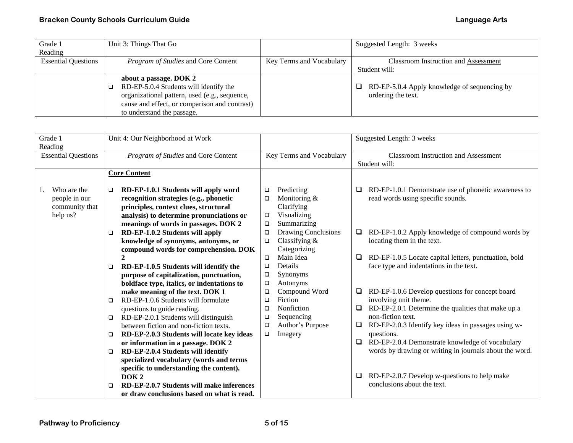| Grade 1                    | Unit 3: Things That Go                        |                          | Suggested Length: 3 weeks                           |
|----------------------------|-----------------------------------------------|--------------------------|-----------------------------------------------------|
| Reading                    |                                               |                          |                                                     |
| <b>Essential Questions</b> | <i>Program of Studies</i> and Core Content    | Key Terms and Vocabulary | <b>Classroom Instruction and Assessment</b>         |
|                            |                                               |                          | Student will:                                       |
|                            | about a passage. DOK 2                        |                          |                                                     |
|                            | RD-EP-5.0.4 Students will identify the        |                          | $\Box$ RD-EP-5.0.4 Apply knowledge of sequencing by |
|                            | organizational pattern, used (e.g., sequence, |                          | ordering the text.                                  |
|                            | cause and effect, or comparison and contrast) |                          |                                                     |
|                            | to understand the passage.                    |                          |                                                     |

| Grade 1<br>Reading                                         |                  | Unit 4: Our Neighborhood at Work                                                                                                                                    |                                      |                                                                       |         | Suggested Length: 3 weeks                                                                                                      |
|------------------------------------------------------------|------------------|---------------------------------------------------------------------------------------------------------------------------------------------------------------------|--------------------------------------|-----------------------------------------------------------------------|---------|--------------------------------------------------------------------------------------------------------------------------------|
| <b>Essential Questions</b>                                 |                  | Program of Studies and Core Content                                                                                                                                 |                                      | Key Terms and Vocabulary                                              |         | <b>Classroom Instruction and Assessment</b><br>Student will:                                                                   |
|                                                            |                  | <b>Core Content</b>                                                                                                                                                 |                                      |                                                                       |         |                                                                                                                                |
| Who are the<br>people in our<br>community that<br>help us? | $\Box$           | RD-EP-1.0.1 Students will apply word<br>recognition strategies (e.g., phonetic<br>principles, context clues, structural<br>analysis) to determine pronunciations or | $\Box$<br>$\Box$<br>$\Box$           | Predicting<br>Monitoring &<br>Clarifying<br>Visualizing               | ⊔       | RD-EP-1.0.1 Demonstrate use of phonetic awareness to<br>read words using specific sounds.                                      |
|                                                            | $\Box$           | meanings of words in passages. DOK 2<br>RD-EP-1.0.2 Students will apply<br>knowledge of synonyms, antonyms, or<br>compound words for comprehension. DOK             | $\Box$<br>$\Box$<br>$\Box$           | Summarizing<br>Drawing Conclusions<br>Classifying $&$<br>Categorizing | ⊔       | RD-EP-1.0.2 Apply knowledge of compound words by<br>locating them in the text.                                                 |
|                                                            | $\Box$           | $\mathbf{2}$<br>RD-EP-1.0.5 Students will identify the<br>purpose of capitalization, punctuation,<br>boldface type, italics, or indentations to                     | $\Box$<br>$\Box$<br>$\Box$<br>$\Box$ | Main Idea<br>Details<br>Synonyms<br>Antonyms                          | ⊔       | RD-EP-1.0.5 Locate capital letters, punctuation, bold<br>face type and indentations in the text.                               |
|                                                            | $\Box$           | make meaning of the text. DOK 1<br>RD-EP-1.0.6 Students will formulate<br>questions to guide reading.                                                               | $\Box$<br>$\Box$<br>$\Box$           | Compound Word<br>Fiction<br>Nonfiction                                | Q.<br>❏ | RD-EP-1.0.6 Develop questions for concept board<br>involving unit theme.<br>RD-EP-2.0.1 Determine the qualities that make up a |
|                                                            | $\Box$<br>$\Box$ | RD-EP-2.0.1 Students will distinguish<br>between fiction and non-fiction texts.<br>RD-EP-2.0.3 Students will locate key ideas                                       | $\Box$<br>$\Box$<br>$\Box$           | Sequencing<br>Author's Purpose<br>Imagery                             | ⊔       | non-fiction text.<br>RD-EP-2.0.3 Identify key ideas in passages using w-<br>questions.                                         |
|                                                            | $\Box$           | or information in a passage. DOK 2<br>RD-EP-2.0.4 Students will identify<br>specialized vocabulary (words and terms<br>specific to understanding the content).      |                                      |                                                                       | $\Box$  | RD-EP-2.0.4 Demonstrate knowledge of vocabulary<br>words by drawing or writing in journals about the word.                     |
|                                                            | □                | DOK <sub>2</sub><br>RD-EP-2.0.7 Students will make inferences<br>or draw conclusions based on what is read.                                                         |                                      |                                                                       | ❏       | RD-EP-2.0.7 Develop w-questions to help make<br>conclusions about the text.                                                    |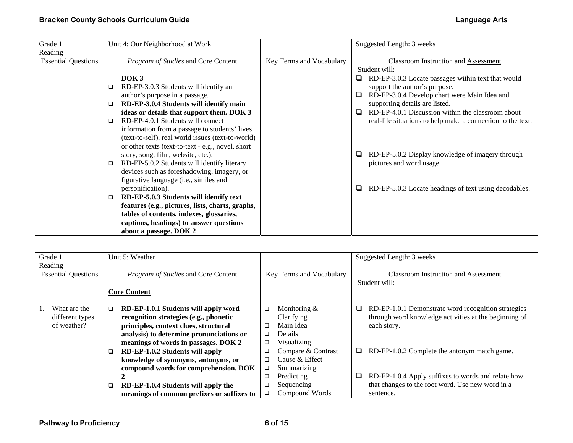| Grade 1                    | Unit 4: Our Neighborhood at Work                  |                          | Suggested Length: 3 weeks                                   |
|----------------------------|---------------------------------------------------|--------------------------|-------------------------------------------------------------|
| Reading                    |                                                   |                          |                                                             |
| <b>Essential Questions</b> | Program of Studies and Core Content               | Key Terms and Vocabulary | Classroom Instruction and Assessment                        |
|                            |                                                   |                          | Student will:                                               |
|                            | DOK <sub>3</sub>                                  |                          | RD-EP-3.0.3 Locate passages within text that would          |
|                            | RD-EP-3.0.3 Students will identify an<br>$\Box$   |                          | support the author's purpose.                               |
|                            | author's purpose in a passage.                    |                          | RD-EP-3.0.4 Develop chart were Main Idea and<br>❏           |
|                            | RD-EP-3.0.4 Students will identify main<br>□      |                          | supporting details are listed.                              |
|                            | ideas or details that support them. DOK 3         |                          | RD-EP-4.0.1 Discussion within the classroom about<br>□      |
|                            | RD-EP-4.0.1 Students will connect<br>◻            |                          | real-life situations to help make a connection to the text. |
|                            | information from a passage to students' lives     |                          |                                                             |
|                            | (text-to-self), real world issues (text-to-world) |                          |                                                             |
|                            | or other texts (text-to-text - e.g., novel, short |                          |                                                             |
|                            | story, song, film, website, etc.).                |                          | RD-EP-5.0.2 Display knowledge of imagery through<br>u       |
|                            | RD-EP-5.0.2 Students will identify literary<br>□  |                          | pictures and word usage.                                    |
|                            | devices such as foreshadowing, imagery, or        |                          |                                                             |
|                            | figurative language (i.e., similes and            |                          |                                                             |
|                            | personification).                                 |                          | RD-EP-5.0.3 Locate headings of text using decodables.<br>⊔  |
|                            | RD-EP-5.0.3 Students will identify text<br>□      |                          |                                                             |
|                            | features (e.g., pictures, lists, charts, graphs,  |                          |                                                             |
|                            | tables of contents, indexes, glossaries,          |                          |                                                             |
|                            | captions, headings) to answer questions           |                          |                                                             |
|                            | about a passage. DOK 2                            |                          |                                                             |

| Grade 1                    |   | Unit 5: Weather                            |   |                          |   | Suggested Length: 3 weeks                             |
|----------------------------|---|--------------------------------------------|---|--------------------------|---|-------------------------------------------------------|
| Reading                    |   |                                            |   |                          |   |                                                       |
| <b>Essential Questions</b> |   | Program of Studies and Core Content        |   | Key Terms and Vocabulary |   | <b>Classroom Instruction and Assessment</b>           |
|                            |   |                                            |   |                          |   | Student will:                                         |
|                            |   | <b>Core Content</b>                        |   |                          |   |                                                       |
|                            |   |                                            |   |                          |   |                                                       |
| What are the               | □ | RD-EP-1.0.1 Students will apply word       | □ | Monitoring $&$           | ⊔ | RD-EP-1.0.1 Demonstrate word recognition strategies   |
| different types            |   | recognition strategies (e.g., phonetic     |   | Clarifying               |   | through word knowledge activities at the beginning of |
| of weather?                |   | principles, context clues, structural      | □ | Main Idea                |   | each story.                                           |
|                            |   | analysis) to determine pronunciations or   | □ | <b>Details</b>           |   |                                                       |
|                            |   | meanings of words in passages. DOK 2       | □ | Visualizing              |   |                                                       |
|                            | □ | RD-EP-1.0.2 Students will apply            | □ | Compare & Contrast       | ❏ | RD-EP-1.0.2 Complete the antonym match game.          |
|                            |   | knowledge of synonyms, antonyms, or        | □ | Cause & Effect           |   |                                                       |
|                            |   | compound words for comprehension. DOK      | ❏ | Summarizing              |   |                                                       |
|                            |   |                                            | □ | Predicting               | Q | RD-EP-1.0.4 Apply suffixes to words and relate how    |
|                            | □ | RD-EP-1.0.4 Students will apply the        | ❏ | Sequencing               |   | that changes to the root word. Use new word in a      |
|                            |   | meanings of common prefixes or suffixes to | ◻ | Compound Words           |   | sentence.                                             |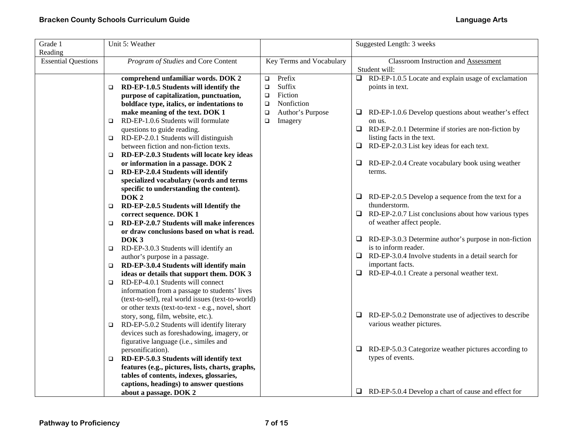| Grade 1                               | Unit 5: Weather                                                                                       |                            | Suggested Length: 3 weeks                                                  |
|---------------------------------------|-------------------------------------------------------------------------------------------------------|----------------------------|----------------------------------------------------------------------------|
| Reading<br><b>Essential Questions</b> | Program of Studies and Core Content                                                                   | Key Terms and Vocabulary   | <b>Classroom Instruction and Assessment</b>                                |
|                                       |                                                                                                       |                            | Student will:                                                              |
|                                       | comprehend unfamiliar words. DOK 2                                                                    | Prefix<br>$\Box$           | $\Box$ RD-EP-1.0.5 Locate and explain usage of exclamation                 |
|                                       | RD-EP-1.0.5 Students will identify the<br>$\Box$                                                      | Suffix<br>$\Box$           | points in text.                                                            |
|                                       | purpose of capitalization, punctuation,                                                               | Fiction<br>$\Box$          |                                                                            |
|                                       | boldface type, italics, or indentations to                                                            | Nonfiction<br>$\Box$       |                                                                            |
|                                       | make meaning of the text. DOK 1                                                                       | Author's Purpose<br>$\Box$ | RD-EP-1.0.6 Develop questions about weather's effect<br>❏                  |
|                                       | RD-EP-1.0.6 Students will formulate<br>$\Box$                                                         | $\Box$<br>Imagery          | on us.                                                                     |
|                                       | questions to guide reading.                                                                           |                            | $\Box$<br>RD-EP-2.0.1 Determine if stories are non-fiction by              |
|                                       | RD-EP-2.0.1 Students will distinguish<br>$\Box$                                                       |                            | listing facts in the text.                                                 |
|                                       | between fiction and non-fiction texts.                                                                |                            | RD-EP-2.0.3 List key ideas for each text.<br>$\Box$                        |
|                                       | RD-EP-2.0.3 Students will locate key ideas<br>□                                                       |                            |                                                                            |
|                                       | or information in a passage. DOK 2                                                                    |                            | □<br>RD-EP-2.0.4 Create vocabulary book using weather                      |
|                                       | RD-EP-2.0.4 Students will identify<br>$\Box$                                                          |                            | terms.                                                                     |
|                                       | specialized vocabulary (words and terms                                                               |                            |                                                                            |
|                                       | specific to understanding the content).<br>DOK <sub>2</sub>                                           |                            |                                                                            |
|                                       | RD-EP-2.0.5 Students will Identify the                                                                |                            | $\Box$ RD-EP-2.0.5 Develop a sequence from the text for a<br>thunderstorm. |
|                                       | $\Box$<br>correct sequence. DOK 1                                                                     |                            | RD-EP-2.0.7 List conclusions about how various types<br>⊔                  |
|                                       | RD-EP-2.0.7 Students will make inferences<br>□                                                        |                            | of weather affect people.                                                  |
|                                       | or draw conclusions based on what is read.                                                            |                            |                                                                            |
|                                       | DOK <sub>3</sub>                                                                                      |                            | $\Box$ RD-EP-3.0.3 Determine author's purpose in non-fiction               |
|                                       | RD-EP-3.0.3 Students will identify an<br>$\Box$                                                       |                            | is to inform reader.                                                       |
|                                       | author's purpose in a passage.                                                                        |                            | $\Box$ RD-EP-3.0.4 Involve students in a detail search for                 |
|                                       | RD-EP-3.0.4 Students will identify main<br>$\Box$                                                     |                            | important facts.                                                           |
|                                       | ideas or details that support them. DOK 3                                                             |                            | $\Box$ RD-EP-4.0.1 Create a personal weather text.                         |
|                                       | RD-EP-4.0.1 Students will connect<br>$\Box$                                                           |                            |                                                                            |
|                                       | information from a passage to students' lives                                                         |                            |                                                                            |
|                                       | (text-to-self), real world issues (text-to-world)                                                     |                            |                                                                            |
|                                       | or other texts (text-to-text - e.g., novel, short                                                     |                            |                                                                            |
|                                       | story, song, film, website, etc.).                                                                    |                            | RD-EP-5.0.2 Demonstrate use of adjectives to describe<br>❏.                |
|                                       | RD-EP-5.0.2 Students will identify literary<br>□                                                      |                            | various weather pictures.                                                  |
|                                       | devices such as foreshadowing, imagery, or                                                            |                            |                                                                            |
|                                       | figurative language (i.e., similes and                                                                |                            | $\Box$                                                                     |
|                                       | personification).                                                                                     |                            | RD-EP-5.0.3 Categorize weather pictures according to<br>types of events.   |
|                                       | RD-EP-5.0.3 Students will identify text<br>$\Box$<br>features (e.g., pictures, lists, charts, graphs, |                            |                                                                            |
|                                       | tables of contents, indexes, glossaries,                                                              |                            |                                                                            |
|                                       | captions, headings) to answer questions                                                               |                            |                                                                            |
|                                       | about a passage. DOK 2                                                                                |                            | $\Box$ RD-EP-5.0.4 Develop a chart of cause and effect for                 |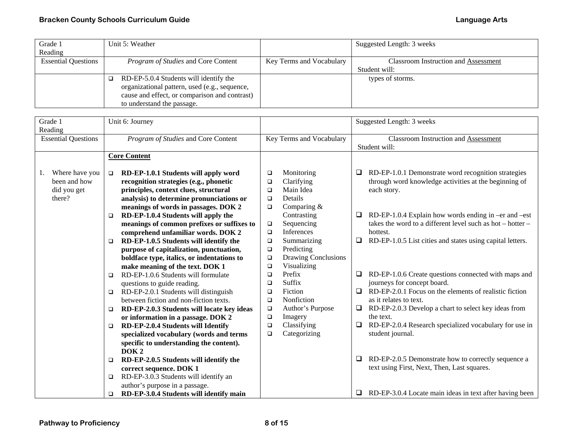| Grade 1                    | Unit 5: Weather                               |                          | Suggested Length: 3 weeks                   |
|----------------------------|-----------------------------------------------|--------------------------|---------------------------------------------|
| Reading                    |                                               |                          |                                             |
| <b>Essential Questions</b> | Program of Studies and Core Content           | Key Terms and Vocabulary | <b>Classroom Instruction and Assessment</b> |
|                            |                                               |                          | Student will:                               |
|                            | RD-EP-5.0.4 Students will identify the        |                          | types of storms.                            |
|                            | organizational pattern, used (e.g., sequence, |                          |                                             |
|                            | cause and effect, or comparison and contrast) |                          |                                             |
|                            | to understand the passage.                    |                          |                                             |

| Grade 1<br>Reading         | Unit 6: Journey                                      |                               | Suggested Length: 3 weeks                                           |  |  |
|----------------------------|------------------------------------------------------|-------------------------------|---------------------------------------------------------------------|--|--|
| <b>Essential Questions</b> | Program of Studies and Core Content                  | Key Terms and Vocabulary      | <b>Classroom Instruction and Assessment</b><br>Student will:        |  |  |
|                            | <b>Core Content</b>                                  |                               |                                                                     |  |  |
|                            |                                                      |                               |                                                                     |  |  |
| Where have you             | RD-EP-1.0.1 Students will apply word<br>$\Box$       | Monitoring<br>$\Box$          | RD-EP-1.0.1 Demonstrate word recognition strategies<br>⊔            |  |  |
| been and how               | recognition strategies (e.g., phonetic               | Clarifying<br>$\Box$          | through word knowledge activities at the beginning of               |  |  |
| did you get                | principles, context clues, structural                | Main Idea<br>$\Box$           | each story.                                                         |  |  |
| there?                     | analysis) to determine pronunciations or             | Details<br>$\Box$             |                                                                     |  |  |
|                            | meanings of words in passages. DOK 2                 | Comparing &<br>$\Box$         |                                                                     |  |  |
|                            | RD-EP-1.0.4 Students will apply the<br>$\Box$        | Contrasting                   | RD-EP-1.0.4 Explain how words ending in -er and -est<br>❏           |  |  |
|                            | meanings of common prefixes or suffixes to           | $\Box$<br>Sequencing          | takes the word to a different level such as hot $-$ hotter $-$      |  |  |
|                            | comprehend unfamiliar words. DOK 2                   | Inferences<br>$\Box$          | hottest.                                                            |  |  |
|                            | RD-EP-1.0.5 Students will identify the<br>$\Box$     | $\Box$<br>Summarizing         | RD-EP-1.0.5 List cities and states using capital letters.<br>$\Box$ |  |  |
|                            | purpose of capitalization, punctuation,              | Predicting<br>$\Box$          |                                                                     |  |  |
|                            | boldface type, italics, or indentations to           | Drawing Conclusions<br>$\Box$ |                                                                     |  |  |
|                            | make meaning of the text. DOK 1                      | $\Box$<br>Visualizing         |                                                                     |  |  |
|                            | RD-EP-1.0.6 Students will formulate<br>$\Box$        | Prefix<br>$\Box$              | RD-EP-1.0.6 Create questions connected with maps and<br>⊔           |  |  |
|                            | questions to guide reading.                          | Suffix<br>$\Box$              | journeys for concept board.                                         |  |  |
|                            | RD-EP-2.0.1 Students will distinguish<br>$\Box$      | Fiction<br>$\Box$             | RD-EP-2.0.1 Focus on the elements of realistic fiction<br>$\Box$    |  |  |
|                            | between fiction and non-fiction texts.               | Nonfiction<br>$\Box$          | as it relates to text.                                              |  |  |
|                            | RD-EP-2.0.3 Students will locate key ideas<br>$\Box$ | Author's Purpose<br>$\Box$    | RD-EP-2.0.3 Develop a chart to select key ideas from<br>❏           |  |  |
|                            | or information in a passage. DOK 2                   | $\Box$<br>Imagery             | the text.                                                           |  |  |
|                            | RD-EP-2.0.4 Students will Identify<br>$\Box$         | Classifying<br>$\Box$         | RD-EP-2.0.4 Research specialized vocabulary for use in<br>Q.        |  |  |
|                            | specialized vocabulary (words and terms              | $\Box$<br>Categorizing        | student journal.                                                    |  |  |
|                            | specific to understanding the content).              |                               |                                                                     |  |  |
|                            | DOK <sub>2</sub>                                     |                               |                                                                     |  |  |
|                            | RD-EP-2.0.5 Students will identify the<br>$\Box$     |                               | RD-EP-2.0.5 Demonstrate how to correctly sequence a<br>□            |  |  |
|                            | correct sequence. DOK 1                              |                               | text using First, Next, Then, Last squares.                         |  |  |
|                            | RD-EP-3.0.3 Students will identify an<br>$\Box$      |                               |                                                                     |  |  |
|                            | author's purpose in a passage.                       |                               |                                                                     |  |  |
|                            | RD-EP-3.0.4 Students will identify main<br>$\Box$    |                               | RD-EP-3.0.4 Locate main ideas in text after having been<br>Q.       |  |  |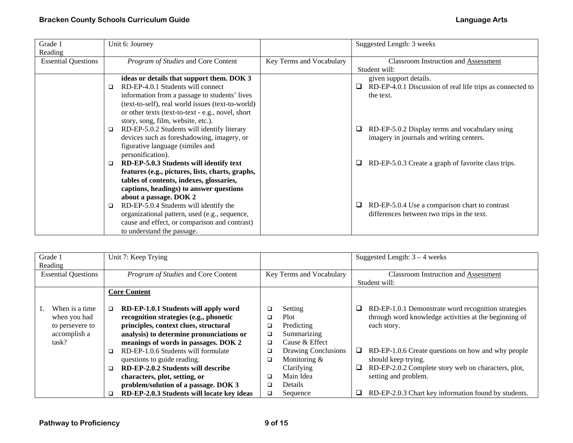| Grade 1                    | Unit 6: Journey                                   |                          | Suggested Length: 3 weeks                                      |
|----------------------------|---------------------------------------------------|--------------------------|----------------------------------------------------------------|
| Reading                    |                                                   |                          |                                                                |
| <b>Essential Questions</b> | Program of Studies and Core Content               | Key Terms and Vocabulary | <b>Classroom Instruction and Assessment</b>                    |
|                            |                                                   |                          | Student will:                                                  |
|                            | ideas or details that support them. DOK 3         |                          | given support details.                                         |
|                            | RD-EP-4.0.1 Students will connect<br>□            |                          | RD-EP-4.0.1 Discussion of real life trips as connected to<br>⊔ |
|                            | information from a passage to students' lives     |                          | the text.                                                      |
|                            | (text-to-self), real world issues (text-to-world) |                          |                                                                |
|                            | or other texts (text-to-text - e.g., novel, short |                          |                                                                |
|                            | story, song, film, website, etc.).                |                          |                                                                |
|                            | RD-EP-5.0.2 Students will identify literary<br>□  |                          | RD-EP-5.0.2 Display terms and vocabulary using                 |
|                            | devices such as foreshadowing, imagery, or        |                          | imagery in journals and writing centers.                       |
|                            | figurative language (similes and                  |                          |                                                                |
|                            | personification).                                 |                          |                                                                |
|                            | RD-EP-5.0.3 Students will identify text<br>$\Box$ |                          | RD-EP-5.0.3 Create a graph of favorite class trips.<br>u       |
|                            | features (e.g., pictures, lists, charts, graphs,  |                          |                                                                |
|                            | tables of contents, indexes, glossaries,          |                          |                                                                |
|                            | captions, headings) to answer questions           |                          |                                                                |
|                            | about a passage. DOK 2                            |                          |                                                                |
|                            | RD-EP-5.0.4 Students will identify the<br>$\Box$  |                          | RD-EP-5.0.4 Use a comparison chart to contrast<br>⊔            |
|                            | organizational pattern, used (e.g., sequence,     |                          | differences between two trips in the text.                     |
|                            | cause and effect, or comparison and contrast)     |                          |                                                                |
|                            | to understand the passage.                        |                          |                                                                |

| Grade 1                    | Unit 7: Keep Trying                            |                          | Suggested Length: $3 - 4$ weeks                              |
|----------------------------|------------------------------------------------|--------------------------|--------------------------------------------------------------|
| Reading                    |                                                |                          |                                                              |
| <b>Essential Questions</b> | Program of Studies and Core Content            | Key Terms and Vocabulary | <b>Classroom Instruction and Assessment</b>                  |
|                            |                                                |                          | Student will:                                                |
|                            | <b>Core Content</b>                            |                          |                                                              |
|                            |                                                |                          |                                                              |
| When is a time             | RD-EP-1.0.1 Students will apply word<br>$\Box$ | Setting<br>□             | RD-EP-1.0.1 Demonstrate word recognition strategies<br>⊔     |
| when you had               | recognition strategies (e.g., phonetic         | Plot<br>❏                | through word knowledge activities at the beginning of        |
| to persevere to            | principles, context clues, structural          | Predicting<br>□          | each story.                                                  |
| accomplish a               | analysis) to determine pronunciations or       | Summarizing<br>□         |                                                              |
| task?                      | meanings of words in passages. DOK 2           | Cause & Effect<br>□      |                                                              |
|                            | RD-EP-1.0.6 Students will formulate<br>□       | Drawing Conclusions<br>◻ | RD-EP-1.0.6 Create questions on how and why people<br>$\Box$ |
|                            | questions to guide reading.                    | Monitoring &<br>□        | should keep trying.                                          |
|                            | RD-EP-2.0.2 Students will describe<br>□        | Clarifying               | RD-EP-2.0.2 Complete story web on characters, plot,<br>❏     |
|                            | characters, plot, setting, or                  | Main Idea<br>□           | setting and problem.                                         |
|                            | problem/solution of a passage. DOK 3           | <b>Details</b><br>$\Box$ |                                                              |
|                            | RD-EP-2.0.3 Students will locate key ideas     | Sequence<br>◻            | RD-EP-2.0.3 Chart key information found by students.<br>□    |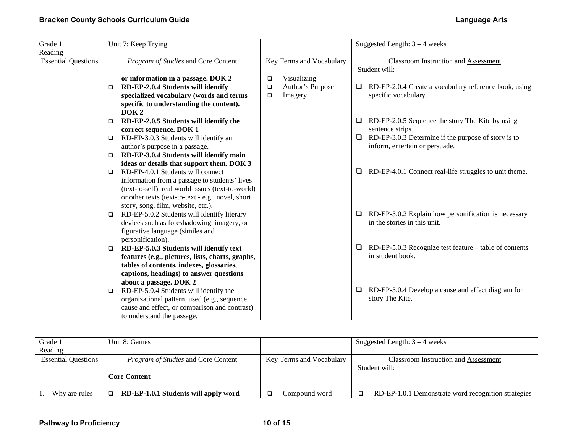| Grade 1                    |        | Unit 7: Keep Trying                               |        |                          |   | Suggested Length: $3 - 4$ weeks                                               |
|----------------------------|--------|---------------------------------------------------|--------|--------------------------|---|-------------------------------------------------------------------------------|
| Reading                    |        |                                                   |        |                          |   |                                                                               |
| <b>Essential Questions</b> |        | Program of Studies and Core Content               |        | Key Terms and Vocabulary |   | <b>Classroom Instruction and Assessment</b>                                   |
|                            |        |                                                   |        |                          |   | Student will:                                                                 |
|                            |        | or information in a passage. DOK 2                | $\Box$ | Visualizing              |   |                                                                               |
|                            | $\Box$ | RD-EP-2.0.4 Students will identify                | $\Box$ | Author's Purpose         | ⊔ | RD-EP-2.0.4 Create a vocabulary reference book, using                         |
|                            |        | specialized vocabulary (words and terms           | $\Box$ | Imagery                  |   | specific vocabulary.                                                          |
|                            |        | specific to understanding the content).           |        |                          |   |                                                                               |
|                            |        | DOK <sub>2</sub>                                  |        |                          |   |                                                                               |
|                            | $\Box$ | RD-EP-2.0.5 Students will identify the            |        |                          | ⊔ | RD-EP-2.0.5 Sequence the story The Kite by using                              |
|                            |        | correct sequence. DOK 1                           |        |                          |   | sentence strips.                                                              |
|                            | $\Box$ | RD-EP-3.0.3 Students will identify an             |        |                          | □ | RD-EP-3.0.3 Determine if the purpose of story is to                           |
|                            |        | author's purpose in a passage.                    |        |                          |   | inform, entertain or persuade.                                                |
|                            | $\Box$ | RD-EP-3.0.4 Students will identify main           |        |                          |   |                                                                               |
|                            |        | ideas or details that support them. DOK 3         |        |                          |   |                                                                               |
|                            | $\Box$ | RD-EP-4.0.1 Students will connect                 |        |                          | 0 | RD-EP-4.0.1 Connect real-life struggles to unit theme.                        |
|                            |        | information from a passage to students' lives     |        |                          |   |                                                                               |
|                            |        | (text-to-self), real world issues (text-to-world) |        |                          |   |                                                                               |
|                            |        | or other texts (text-to-text - e.g., novel, short |        |                          |   |                                                                               |
|                            |        | story, song, film, website, etc.).                |        |                          |   |                                                                               |
|                            | ▫      | RD-EP-5.0.2 Students will identify literary       |        |                          | 0 | RD-EP-5.0.2 Explain how personification is necessary                          |
|                            |        | devices such as foreshadowing, imagery, or        |        |                          |   | in the stories in this unit.                                                  |
|                            |        | figurative language (similes and                  |        |                          |   |                                                                               |
|                            |        | personification).                                 |        |                          |   |                                                                               |
|                            | $\Box$ | RD-EP-5.0.3 Students will identify text           |        |                          | ❏ | $RD$ -EP-5.0.3 Recognize test feature – table of contents<br>in student book. |
|                            |        | features (e.g., pictures, lists, charts, graphs,  |        |                          |   |                                                                               |
|                            |        | tables of contents, indexes, glossaries,          |        |                          |   |                                                                               |
|                            |        | captions, headings) to answer questions           |        |                          |   |                                                                               |
|                            |        | about a passage. DOK 2                            |        |                          | □ | RD-EP-5.0.4 Develop a cause and effect diagram for                            |
|                            | $\Box$ | RD-EP-5.0.4 Students will identify the            |        |                          |   |                                                                               |
|                            |        | organizational pattern, used (e.g., sequence,     |        |                          |   | story The Kite.                                                               |
|                            |        | cause and effect, or comparison and contrast)     |        |                          |   |                                                                               |
|                            |        | to understand the passage.                        |        |                          |   |                                                                               |

| Grade 1                    | Unit 8: Games                              |                          | Suggested Length: $3 - 4$ weeks                     |
|----------------------------|--------------------------------------------|--------------------------|-----------------------------------------------------|
| Reading                    |                                            |                          |                                                     |
| <b>Essential Questions</b> | <i>Program of Studies</i> and Core Content | Key Terms and Vocabulary | Classroom Instruction and Assessment                |
|                            |                                            |                          | Student will:                                       |
|                            | Core Content                               |                          |                                                     |
| Why are rules              | RD-EP-1.0.1 Students will apply word       | Compound word            | RD-EP-1.0.1 Demonstrate word recognition strategies |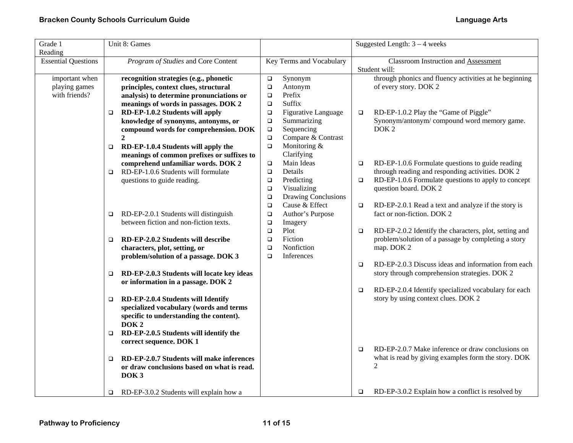| Grade 1<br>Reading         |        | Unit 8: Games                              |                  |                          |        | Suggested Length: $3 - 4$ weeks                        |
|----------------------------|--------|--------------------------------------------|------------------|--------------------------|--------|--------------------------------------------------------|
| <b>Essential Questions</b> |        | Program of Studies and Core Content        |                  | Key Terms and Vocabulary |        | <b>Classroom Instruction and Assessment</b>            |
|                            |        |                                            |                  |                          |        | Student will:                                          |
| important when             |        | recognition strategies (e.g., phonetic     | $\Box$           | Synonym                  |        | through phonics and fluency activities at he beginning |
| playing games              |        | principles, context clues, structural      | $\Box$           | Antonym                  |        | of every story. DOK 2                                  |
| with friends?              |        | analysis) to determine pronunciations or   | $\Box$           | Prefix                   |        |                                                        |
|                            |        | meanings of words in passages. DOK 2       | $\Box$           | Suffix                   |        |                                                        |
|                            | $\Box$ | RD-EP-1.0.2 Students will apply            | $\Box$           | Figurative Language      | $\Box$ | RD-EP-1.0.2 Play the "Game of Piggle"                  |
|                            |        | knowledge of synonyms, antonyms, or        | $\Box$           | Summarizing              |        | Synonym/antonym/compound word memory game.             |
|                            |        | compound words for comprehension. DOK      | $\Box$           | Sequencing               |        | DOK <sub>2</sub>                                       |
|                            |        | $\overline{2}$                             | $\Box$           | Compare & Contrast       |        |                                                        |
|                            | $\Box$ | RD-EP-1.0.4 Students will apply the        | $\Box$           | Monitoring &             |        |                                                        |
|                            |        | meanings of common prefixes or suffixes to |                  | Clarifying               |        |                                                        |
|                            |        | comprehend unfamiliar words. DOK 2         | $\Box$           | Main Ideas               | $\Box$ | RD-EP-1.0.6 Formulate questions to guide reading       |
|                            | $\Box$ | RD-EP-1.0.6 Students will formulate        | $\Box$           | Details                  |        | through reading and responding activities. DOK 2       |
|                            |        | questions to guide reading.                | $\Box$           | Predicting               | $\Box$ | RD-EP-1.0.6 Formulate questions to apply to concept    |
|                            |        |                                            | $\Box$           | Visualizing              |        | question board. DOK 2                                  |
|                            |        |                                            | $\Box$           | Drawing Conclusions      |        |                                                        |
|                            |        |                                            | $\Box$           | Cause & Effect           | $\Box$ | RD-EP-2.0.1 Read a text and analyze if the story is    |
|                            | $\Box$ | RD-EP-2.0.1 Students will distinguish      | $\Box$           | Author's Purpose         |        | fact or non-fiction. DOK 2                             |
|                            |        | between fiction and non-fiction texts.     | $\Box$<br>$\Box$ | Imagery<br>Plot          | $\Box$ | RD-EP-2.0.2 Identify the characters, plot, setting and |
|                            | $\Box$ | RD-EP-2.0.2 Students will describe         | $\Box$           | Fiction                  |        | problem/solution of a passage by completing a story    |
|                            |        | characters, plot, setting, or              | $\Box$           | Nonfiction               |        | map. DOK 2                                             |
|                            |        | problem/solution of a passage. DOK 3       | $\Box$           | Inferences               |        |                                                        |
|                            |        |                                            |                  |                          | $\Box$ | RD-EP-2.0.3 Discuss ideas and information from each    |
|                            | $\Box$ | RD-EP-2.0.3 Students will locate key ideas |                  |                          |        | story through comprehension strategies. DOK 2          |
|                            |        | or information in a passage. DOK 2         |                  |                          |        |                                                        |
|                            |        |                                            |                  |                          | $\Box$ | RD-EP-2.0.4 Identify specialized vocabulary for each   |
|                            | $\Box$ | RD-EP-2.0.4 Students will Identify         |                  |                          |        | story by using context clues. DOK 2                    |
|                            |        | specialized vocabulary (words and terms    |                  |                          |        |                                                        |
|                            |        | specific to understanding the content).    |                  |                          |        |                                                        |
|                            |        | DOK <sub>2</sub>                           |                  |                          |        |                                                        |
|                            | $\Box$ | RD-EP-2.0.5 Students will identify the     |                  |                          |        |                                                        |
|                            |        | correct sequence. DOK 1                    |                  |                          |        |                                                        |
|                            |        |                                            |                  |                          | $\Box$ | RD-EP-2.0.7 Make inference or draw conclusions on      |
|                            | $\Box$ | RD-EP-2.0.7 Students will make inferences  |                  |                          |        | what is read by giving examples form the story. DOK    |
|                            |        | or draw conclusions based on what is read. |                  |                          |        | $\mathfrak{D}$                                         |
|                            |        | DOK <sub>3</sub>                           |                  |                          |        |                                                        |
|                            |        |                                            |                  |                          |        |                                                        |
|                            | $\Box$ | RD-EP-3.0.2 Students will explain how a    |                  |                          | $\Box$ | RD-EP-3.0.2 Explain how a conflict is resolved by      |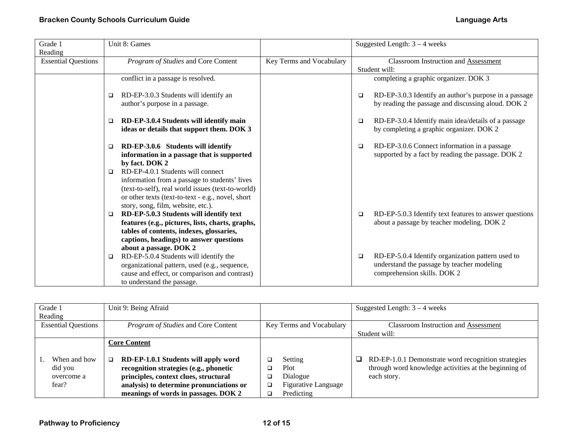| Grade 1                    | Unit 8: Games                                                                              |                          | Suggested Length: $3 - 4$ weeks                                                                           |
|----------------------------|--------------------------------------------------------------------------------------------|--------------------------|-----------------------------------------------------------------------------------------------------------|
| Reading                    |                                                                                            |                          |                                                                                                           |
| <b>Essential Questions</b> | Program of Studies and Core Content                                                        | Key Terms and Vocabulary | <b>Classroom Instruction and Assessment</b>                                                               |
|                            |                                                                                            |                          | Student will:                                                                                             |
|                            | conflict in a passage is resolved.                                                         |                          | completing a graphic organizer. DOK 3                                                                     |
|                            | RD-EP-3.0.3 Students will identify an<br>□                                                 |                          | RD-EP-3.0.3 Identify an author's purpose in a passage<br>$\Box$                                           |
|                            | author's purpose in a passage.                                                             |                          | by reading the passage and discussing aloud. DOK 2                                                        |
|                            | RD-EP-3.0.4 Students will identify main<br>□<br>ideas or details that support them. DOK 3  |                          | RD-EP-3.0.4 Identify main idea/details of a passage<br>$\Box$<br>by completing a graphic organizer. DOK 2 |
|                            | RD-EP-3.0.6 Students will identify<br>$\Box$<br>information in a passage that is supported |                          | RD-EP-3.0.6 Connect information in a passage<br>□<br>supported by a fact by reading the passage. DOK 2    |
|                            | by fact. DOK 2<br>RD-EP-4.0.1 Students will connect<br>□                                   |                          |                                                                                                           |
|                            | information from a passage to students' lives                                              |                          |                                                                                                           |
|                            | (text-to-self), real world issues (text-to-world)                                          |                          |                                                                                                           |
|                            | or other texts (text-to-text - e.g., novel, short<br>story, song, film, website, etc.).    |                          |                                                                                                           |
|                            | RD-EP-5.0.3 Students will identify text<br>□                                               |                          | RD-EP-5.0.3 Identify text features to answer questions<br>$\Box$                                          |
|                            | features (e.g., pictures, lists, charts, graphs,                                           |                          | about a passage by teacher modeling. DOK 2                                                                |
|                            | tables of contents, indexes, glossaries,                                                   |                          |                                                                                                           |
|                            | captions, headings) to answer questions                                                    |                          |                                                                                                           |
|                            | about a passage. DOK 2                                                                     |                          |                                                                                                           |
|                            | RD-EP-5.0.4 Students will identify the<br>□                                                |                          | RD-EP-5.0.4 Identify organization pattern used to<br>$\Box$                                               |
|                            | organizational pattern, used (e.g., sequence,                                              |                          | understand the passage by teacher modeling                                                                |
|                            | cause and effect, or comparison and contrast)                                              |                          | comprehension skills. DOK 2                                                                               |
|                            | to understand the passage.                                                                 |                          |                                                                                                           |

| Grade 1<br>Reading                             | Unit 9: Being Afraid                                                                                                                                                                                                                     |                                                                              | Suggested Length: $3 - 4$ weeks                                                                                                       |
|------------------------------------------------|------------------------------------------------------------------------------------------------------------------------------------------------------------------------------------------------------------------------------------------|------------------------------------------------------------------------------|---------------------------------------------------------------------------------------------------------------------------------------|
| <b>Essential Questions</b>                     | Program of Studies and Core Content                                                                                                                                                                                                      | Key Terms and Vocabulary                                                     | <b>Classroom Instruction and Assessment</b><br>Student will:                                                                          |
| When and how<br>did you<br>overcome a<br>fear? | <b>Core Content</b><br>RD-EP-1.0.1 Students will apply word<br>o.<br>recognition strategies (e.g., phonetic<br>principles, context clues, structural<br>analysis) to determine pronunciations or<br>meanings of words in passages. DOK 2 | Setting<br>Plot<br>Dialogue<br><b>Figurative Language</b><br>□<br>Predicting | RD-EP-1.0.1 Demonstrate word recognition strategies<br>$\Box$<br>through word knowledge activities at the beginning of<br>each story. |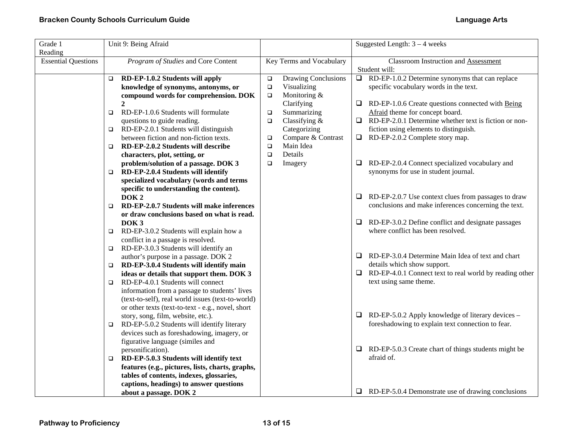| Grade 1<br>Reading         | Unit 9: Being Afraid                                                                                                                                                                                                                                                               |                                                                                                | Suggested Length: $3 - 4$ weeks                                                                                                                               |
|----------------------------|------------------------------------------------------------------------------------------------------------------------------------------------------------------------------------------------------------------------------------------------------------------------------------|------------------------------------------------------------------------------------------------|---------------------------------------------------------------------------------------------------------------------------------------------------------------|
| <b>Essential Questions</b> | Program of Studies and Core Content                                                                                                                                                                                                                                                | Key Terms and Vocabulary                                                                       | <b>Classroom Instruction and Assessment</b><br>Student will:                                                                                                  |
|                            | RD-EP-1.0.2 Students will apply<br>$\Box$<br>knowledge of synonyms, antonyms, or<br>compound words for comprehension. DOK<br>$\overline{2}$                                                                                                                                        | Drawing Conclusions<br>$\Box$<br>$\Box$<br>Visualizing<br>Monitoring &<br>$\Box$<br>Clarifying | RD-EP-1.0.2 Determine synonyms that can replace<br>$\Box$<br>specific vocabulary words in the text.<br>RD-EP-1.0.6 Create questions connected with Being<br>⊔ |
|                            | RD-EP-1.0.6 Students will formulate<br>o.<br>questions to guide reading.                                                                                                                                                                                                           | Summarizing<br>$\Box$<br>Classifying $&$<br>$\Box$                                             | Afraid theme for concept board.<br>$\Box$ RD-EP-2.0.1 Determine whether text is fiction or non-                                                               |
|                            | RD-EP-2.0.1 Students will distinguish<br>$\Box$<br>between fiction and non-fiction texts.                                                                                                                                                                                          | Categorizing<br>Compare & Contrast<br>$\Box$                                                   | fiction using elements to distinguish.<br>RD-EP-2.0.2 Complete story map.                                                                                     |
|                            | RD-EP-2.0.2 Students will describe<br>$\Box$<br>characters, plot, setting, or                                                                                                                                                                                                      | Main Idea<br>$\Box$<br>Details<br>$\Box$                                                       |                                                                                                                                                               |
|                            | problem/solution of a passage. DOK 3<br>RD-EP-2.0.4 Students will identify<br>$\Box$<br>specialized vocabulary (words and terms<br>specific to understanding the content).                                                                                                         | Imagery<br>$\Box$                                                                              | RD-EP-2.0.4 Connect specialized vocabulary and<br>⊔<br>synonyms for use in student journal.                                                                   |
|                            | DOK <sub>2</sub><br>RD-EP-2.0.7 Students will make inferences<br>$\Box$<br>or draw conclusions based on what is read.                                                                                                                                                              |                                                                                                | RD-EP-2.0.7 Use context clues from passages to draw<br>⊔<br>conclusions and make inferences concerning the text.                                              |
|                            | DOK <sub>3</sub><br>RD-EP-3.0.2 Students will explain how a<br>□<br>conflict in a passage is resolved.                                                                                                                                                                             |                                                                                                | RD-EP-3.0.2 Define conflict and designate passages<br>u.<br>where conflict has been resolved.                                                                 |
|                            | RD-EP-3.0.3 Students will identify an<br>$\Box$<br>author's purpose in a passage. DOK 2<br>RD-EP-3.0.4 Students will identify main<br>▫                                                                                                                                            |                                                                                                | RD-EP-3.0.4 Determine Main Idea of text and chart<br>⊔.<br>details which show support.                                                                        |
|                            | ideas or details that support them. DOK 3<br>RD-EP-4.0.1 Students will connect<br>$\Box$<br>information from a passage to students' lives                                                                                                                                          |                                                                                                | RD-EP-4.0.1 Connect text to real world by reading other<br>⊔<br>text using same theme.                                                                        |
|                            | (text-to-self), real world issues (text-to-world)<br>or other texts (text-to-text - e.g., novel, short<br>story, song, film, website, etc.).<br>RD-EP-5.0.2 Students will identify literary<br>□<br>devices such as foreshadowing, imagery, or<br>figurative language (similes and |                                                                                                | $\Box$ RD-EP-5.0.2 Apply knowledge of literary devices –<br>foreshadowing to explain text connection to fear.                                                 |
|                            | personification).<br>RD-EP-5.0.3 Students will identify text<br>□<br>features (e.g., pictures, lists, charts, graphs,                                                                                                                                                              |                                                                                                | RD-EP-5.0.3 Create chart of things students might be<br>$\Box$<br>afraid of.                                                                                  |
|                            | tables of contents, indexes, glossaries,<br>captions, headings) to answer questions<br>about a passage. DOK 2                                                                                                                                                                      |                                                                                                | $\Box$ RD-EP-5.0.4 Demonstrate use of drawing conclusions                                                                                                     |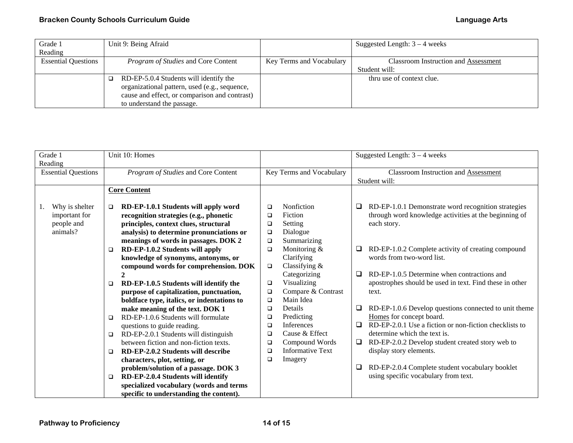## **Bracken County Schools Curriculum Guide Language Arts**

| Grade 1                    | Unit 9: Being Afraid                          |                          | Suggested Length: $3 - 4$ weeks             |
|----------------------------|-----------------------------------------------|--------------------------|---------------------------------------------|
| Reading                    |                                               |                          |                                             |
| <b>Essential Questions</b> | Program of Studies and Core Content           | Key Terms and Vocabulary | <b>Classroom Instruction and Assessment</b> |
|                            |                                               |                          | Student will:                               |
|                            | RD-EP-5.0.4 Students will identify the        |                          | thru use of context clue.                   |
|                            | organizational pattern, used (e.g., sequence, |                          |                                             |
|                            | cause and effect, or comparison and contrast) |                          |                                             |
|                            | to understand the passage.                    |                          |                                             |

| Grade 1                          |                                     | Unit 10: Homes                             |        |                          |   | Suggested Length: $3 - 4$ weeks                              |  |  |
|----------------------------------|-------------------------------------|--------------------------------------------|--------|--------------------------|---|--------------------------------------------------------------|--|--|
| Reading                          |                                     |                                            |        |                          |   |                                                              |  |  |
| <b>Essential Questions</b>       | Program of Studies and Core Content |                                            |        | Key Terms and Vocabulary |   | <b>Classroom Instruction and Assessment</b><br>Student will: |  |  |
|                                  |                                     | <b>Core Content</b>                        |        |                          |   |                                                              |  |  |
|                                  |                                     |                                            |        |                          |   |                                                              |  |  |
| Why is shelter<br>$\mathbf{I}$ . | $\Box$                              | RD-EP-1.0.1 Students will apply word       | □      | Nonfiction               | ❏ | RD-EP-1.0.1 Demonstrate word recognition strategies          |  |  |
| important for                    |                                     | recognition strategies (e.g., phonetic     | □      | Fiction                  |   | through word knowledge activities at the beginning of        |  |  |
| people and                       |                                     | principles, context clues, structural      | □      | Setting                  |   | each story.                                                  |  |  |
| animals?                         |                                     | analysis) to determine pronunciations or   | $\Box$ | Dialogue                 |   |                                                              |  |  |
|                                  |                                     | meanings of words in passages. DOK 2       | $\Box$ | Summarizing              |   |                                                              |  |  |
|                                  | $\Box$                              | RD-EP-1.0.2 Students will apply            | $\Box$ | Monitoring &             | ⊔ | RD-EP-1.0.2 Complete activity of creating compound           |  |  |
|                                  |                                     | knowledge of synonyms, antonyms, or        |        | Clarifying               |   | words from two-word list.                                    |  |  |
|                                  |                                     | compound words for comprehension. DOK      | $\Box$ | Classifying &            |   |                                                              |  |  |
|                                  |                                     |                                            |        | Categorizing             | □ | RD-EP-1.0.5 Determine when contractions and                  |  |  |
|                                  | □                                   | RD-EP-1.0.5 Students will identify the     | $\Box$ | Visualizing              |   | apostrophes should be used in text. Find these in other      |  |  |
|                                  |                                     | purpose of capitalization, punctuation,    | □      | Compare & Contrast       |   | text.                                                        |  |  |
|                                  |                                     | boldface type, italics, or indentations to | □      | Main Idea                |   |                                                              |  |  |
|                                  |                                     | make meaning of the text. DOK 1            | □      | Details                  | ⊔ | RD-EP-1.0.6 Develop questions connected to unit theme        |  |  |
|                                  | $\Box$                              | RD-EP-1.0.6 Students will formulate        | □      | Predicting               |   | Homes for concept board.                                     |  |  |
|                                  |                                     | questions to guide reading.                | □      | Inferences               | □ | RD-EP-2.0.1 Use a fiction or non-fiction checklists to       |  |  |
|                                  | $\Box$                              | RD-EP-2.0.1 Students will distinguish      | □      | Cause & Effect           |   | determine which the text is.                                 |  |  |
|                                  |                                     | between fiction and non-fiction texts.     | □      | Compound Words           | ⊔ | RD-EP-2.0.2 Develop student created story web to             |  |  |
|                                  | □                                   | RD-EP-2.0.2 Students will describe         | □      | <b>Informative Text</b>  |   | display story elements.                                      |  |  |
|                                  |                                     | characters, plot, setting, or              | □      | Imagery                  |   |                                                              |  |  |
|                                  |                                     | problem/solution of a passage. DOK 3       |        |                          | □ | RD-EP-2.0.4 Complete student vocabulary booklet              |  |  |
|                                  | $\Box$                              | RD-EP-2.0.4 Students will identify         |        |                          |   | using specific vocabulary from text.                         |  |  |
|                                  |                                     | specialized vocabulary (words and terms    |        |                          |   |                                                              |  |  |
|                                  |                                     | specific to understanding the content).    |        |                          |   |                                                              |  |  |